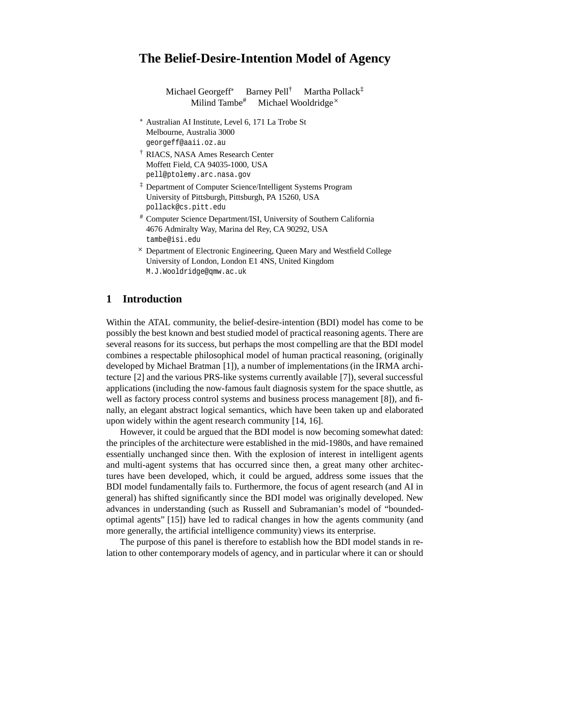# **The Belief-Desire-Intention Model of Agency**

Michael Georgeff<sup>\*</sup> Barney Pell<sup>†</sup> Martha Pollack<sup>‡</sup> Milind Tambe<sup>#</sup> Michael Wooldridge<sup> $\times$ </sup>

- Australian AI Institute, Level 6, 171 La Trobe St Melbourne, Australia 3000 georgeff@aaii.oz.au
- † RIACS, NASA Ames Research Center Moffett Field, CA 94035-1000, USA pell@ptolemy.arc.nasa.gov
- ‡ Department of Computer Science/Intelligent Systems Program University of Pittsburgh, Pittsburgh, PA 15260, USA pollack@cs.pitt.edu
- # Computer Science Department/ISI, University of Southern California 4676 Admiralty Way, Marina del Rey, CA 90292, USA tambe@isi.edu
- $\times$  Department of Electronic Engineering, Queen Mary and Westfield College University of London, London E1 4NS, United Kingdom M.J.Wooldridge@qmw.ac.uk

## **1 Introduction**

Within the ATAL community, the belief-desire-intention (BDI) model has come to be possibly the best known and best studied model of practical reasoning agents. There are several reasons for its success, but perhaps the most compelling are that the BDI model combines a respectable philosophical model of human practical reasoning, (originally developed by Michael Bratman [1]), a number of implementations (in the IRMA architecture [2] and the various PRS-like systems currently available [7]), several successful applications (including the now-famous fault diagnosis system for the space shuttle, as well as factory process control systems and business process management [8]), and finally, an elegant abstract logical semantics, which have been taken up and elaborated upon widely within the agent research community [14, 16].

However, it could be argued that the BDI model is now becoming somewhat dated: the principles of the architecture were established in the mid-1980s, and have remained essentially unchanged since then. With the explosion of interest in intelligent agents and multi-agent systems that has occurred since then, a great many other architectures have been developed, which, it could be argued, address some issues that the BDI model fundamentally fails to. Furthermore, the focus of agent research (and AI in general) has shifted significantly since the BDI model was originally developed. New advances in understanding (such as Russell and Subramanian's model of "boundedoptimal agents" [15]) have led to radical changes in how the agents community (and more generally, the artificial intelligence community) views its enterprise.

The purpose of this panel is therefore to establish how the BDI model stands in relation to other contemporary models of agency, and in particular where it can or should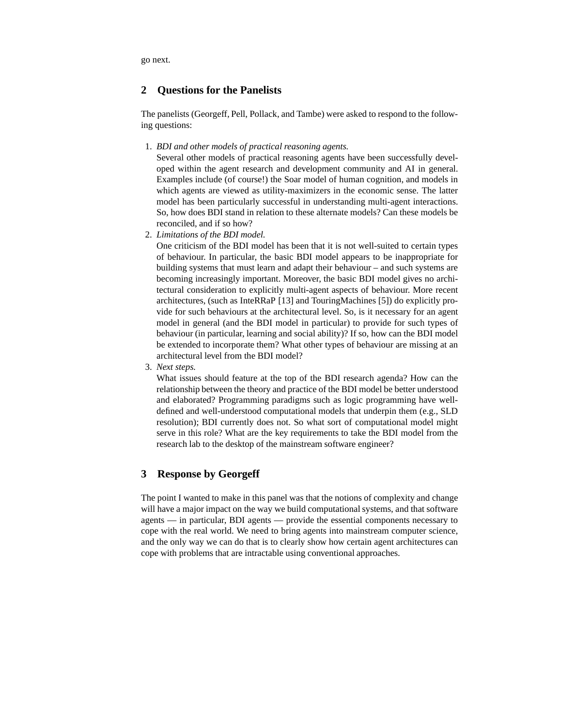go next.

#### **2 Questions for the Panelists**

The panelists (Georgeff, Pell, Pollack, and Tambe) were asked to respond to the following questions:

1. *BDI and other models of practical reasoning agents.*

Several other models of practical reasoning agents have been successfully developed within the agent research and development community and AI in general. Examples include (of course!) the Soar model of human cognition, and models in which agents are viewed as utility-maximizers in the economic sense. The latter model has been particularly successful in understanding multi-agent interactions. So, how does BDI stand in relation to these alternate models? Can these models be reconciled, and if so how?

2. *Limitations of the BDI model.*

One criticism of the BDI model has been that it is not well-suited to certain types of behaviour. In particular, the basic BDI model appears to be inappropriate for building systems that must learn and adapt their behaviour – and such systems are becoming increasingly important. Moreover, the basic BDI model gives no architectural consideration to explicitly multi-agent aspects of behaviour. More recent architectures, (such as InteRRaP [13] and TouringMachines [5]) do explicitly provide for such behaviours at the architectural level. So, is it necessary for an agent model in general (and the BDI model in particular) to provide for such types of behaviour (in particular, learning and social ability)? If so, how can the BDI model be extended to incorporate them? What other types of behaviour are missing at an architectural level from the BDI model?

3. *Next steps.*

What issues should feature at the top of the BDI research agenda? How can the relationship between the theory and practice of the BDI model be better understood and elaborated? Programming paradigms such as logic programming have welldefined and well-understood computational models that underpin them (e.g., SLD resolution); BDI currently does not. So what sort of computational model might serve in this role? What are the key requirements to take the BDI model from the research lab to the desktop of the mainstream software engineer?

#### **3 Response by Georgeff**

The point I wanted to make in this panel was that the notions of complexity and change will have a major impact on the way we build computational systems, and that software agents — in particular, BDI agents — provide the essential components necessary to cope with the real world. We need to bring agents into mainstream computer science, and the only way we can do that is to clearly show how certain agent architectures can cope with problems that are intractable using conventional approaches.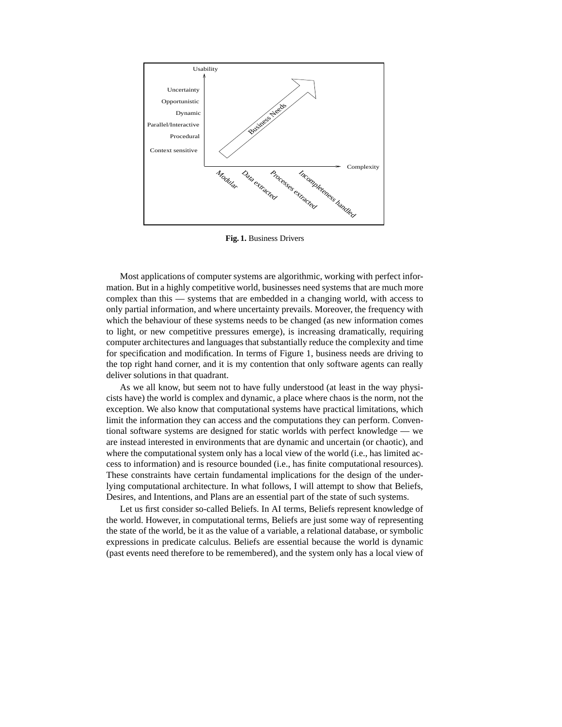

**Fig. 1.** Business Drivers

Most applications of computer systems are algorithmic, working with perfect information. But in a highly competitive world, businesses need systems that are much more complex than this — systems that are embedded in a changing world, with access to only partial information, and where uncertainty prevails. Moreover, the frequency with which the behaviour of these systems needs to be changed (as new information comes to light, or new competitive pressures emerge), is increasing dramatically, requiring computer architectures and languages that substantially reduce the complexity and time for specification and modification. In terms of Figure 1, business needs are driving to the top right hand corner, and it is my contention that only software agents can really deliver solutions in that quadrant.

As we all know, but seem not to have fully understood (at least in the way physicists have) the world is complex and dynamic, a place where chaos is the norm, not the exception. We also know that computational systems have practical limitations, which limit the information they can access and the computations they can perform. Conventional software systems are designed for static worlds with perfect knowledge — we are instead interested in environments that are dynamic and uncertain (or chaotic), and where the computational system only has a local view of the world (i.e., has limited access to information) and is resource bounded (i.e., has finite computational resources). These constraints have certain fundamental implications for the design of the underlying computational architecture. In what follows, I will attempt to show that Beliefs, Desires, and Intentions, and Plans are an essential part of the state of such systems.

Let us first consider so-called Beliefs. In AI terms, Beliefs represent knowledge of the world. However, in computational terms, Beliefs are just some way of representing the state of the world, be it as the value of a variable, a relational database, or symbolic expressions in predicate calculus. Beliefs are essential because the world is dynamic (past events need therefore to be remembered), and the system only has a local view of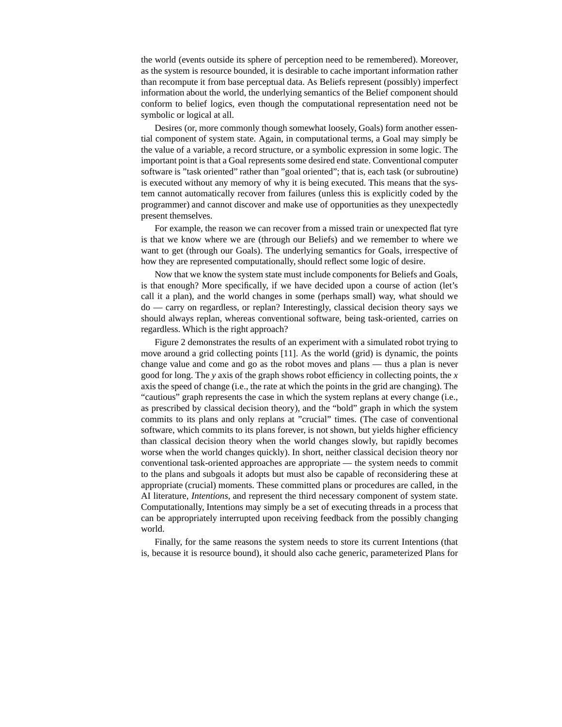the world (events outside its sphere of perception need to be remembered). Moreover, as the system is resource bounded, it is desirable to cache important information rather than recompute it from base perceptual data. As Beliefs represent (possibly) imperfect information about the world, the underlying semantics of the Belief component should conform to belief logics, even though the computational representation need not be symbolic or logical at all.

Desires (or, more commonly though somewhat loosely, Goals) form another essential component of system state. Again, in computational terms, a Goal may simply be the value of a variable, a record structure, or a symbolic expression in some logic. The important point is that a Goal represents some desired end state. Conventional computer software is "task oriented" rather than "goal oriented"; that is, each task (or subroutine) is executed without any memory of why it is being executed. This means that the system cannot automatically recover from failures (unless this is explicitly coded by the programmer) and cannot discover and make use of opportunities as they unexpectedly present themselves.

For example, the reason we can recover from a missed train or unexpected flat tyre is that we know where we are (through our Beliefs) and we remember to where we want to get (through our Goals). The underlying semantics for Goals, irrespective of how they are represented computationally, should reflect some logic of desire.

Now that we know the system state must include components for Beliefs and Goals, is that enough? More specifically, if we have decided upon a course of action (let's call it a plan), and the world changes in some (perhaps small) way, what should we do — carry on regardless, or replan? Interestingly, classical decision theory says we should always replan, whereas conventional software, being task-oriented, carries on regardless. Which is the right approach?

Figure 2 demonstrates the results of an experiment with a simulated robot trying to move around a grid collecting points [11]. As the world (grid) is dynamic, the points change value and come and go as the robot moves and plans — thus a plan is never good for long. The *y* axis of the graph shows robot efficiency in collecting points, the *x* axis the speed of change (i.e., the rate at which the points in the grid are changing). The "cautious" graph represents the case in which the system replans at every change (i.e., as prescribed by classical decision theory), and the "bold" graph in which the system commits to its plans and only replans at "crucial" times. (The case of conventional software, which commits to its plans forever, is not shown, but yields higher efficiency than classical decision theory when the world changes slowly, but rapidly becomes worse when the world changes quickly). In short, neither classical decision theory nor conventional task-oriented approaches are appropriate — the system needs to commit to the plans and subgoals it adopts but must also be capable of reconsidering these at appropriate (crucial) moments. These committed plans or procedures are called, in the AI literature, *Intentions*, and represent the third necessary component of system state. Computationally, Intentions may simply be a set of executing threads in a process that can be appropriately interrupted upon receiving feedback from the possibly changing world.

Finally, for the same reasons the system needs to store its current Intentions (that is, because it is resource bound), it should also cache generic, parameterized Plans for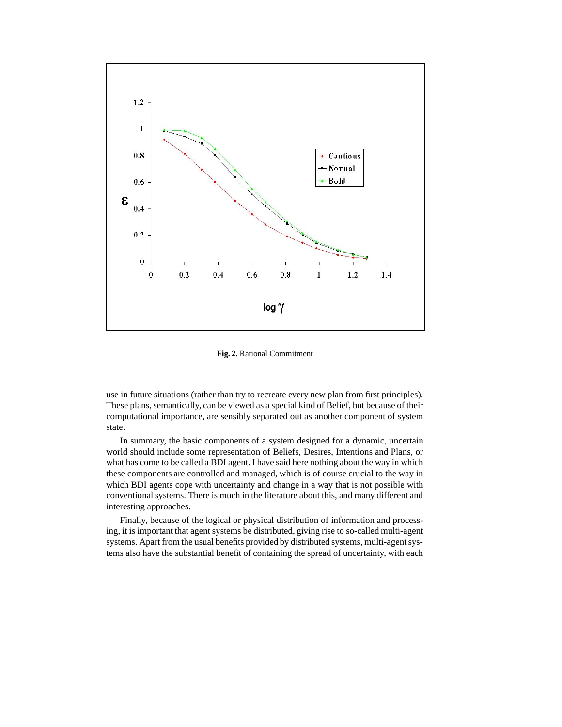

**Fig. 2.** Rational Commitment

use in future situations (rather than try to recreate every new plan from first principles). These plans, semantically, can be viewed as a special kind of Belief, but because of their computational importance, are sensibly separated out as another component of system state.

In summary, the basic components of a system designed for a dynamic, uncertain world should include some representation of Beliefs, Desires, Intentions and Plans, or what has come to be called a BDI agent. I have said here nothing about the way in which these components are controlled and managed, which is of course crucial to the way in which BDI agents cope with uncertainty and change in a way that is not possible with conventionalsystems. There is much in the literature about this, and many different and interesting approaches.

Finally, because of the logical or physical distribution of information and processing, it is important that agent systems be distributed, giving rise to so-called multi-agent systems. Apart from the usual benefits provided by distributed systems, multi-agent systems also have the substantial benefit of containing the spread of uncertainty, with each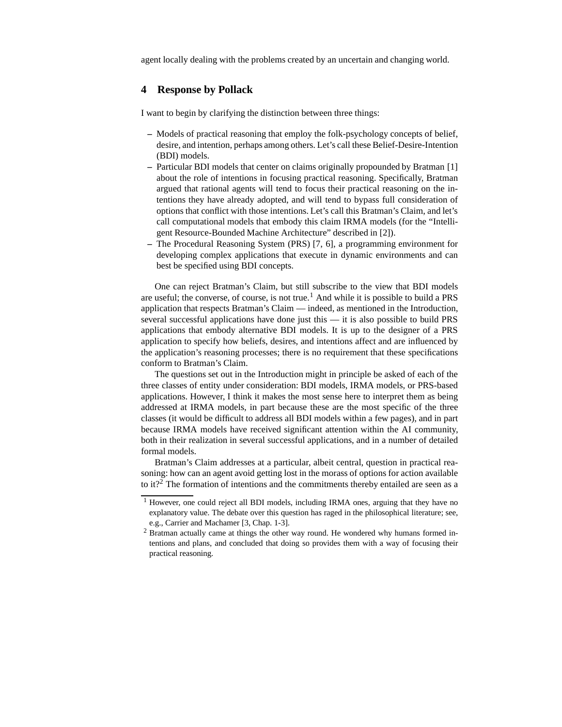agent locally dealing with the problems created by an uncertain and changing world.

### **4 Response by Pollack**

I want to begin by clarifying the distinction between three things:

- **–** Models of practical reasoning that employ the folk-psychology concepts of belief, desire, and intention, perhaps among others. Let's call these Belief-Desire-Intention (BDI) models.
- **–** Particular BDI models that center on claims originally propounded by Bratman [1] about the role of intentions in focusing practical reasoning. Specifically, Bratman argued that rational agents will tend to focus their practical reasoning on the intentions they have already adopted, and will tend to bypass full consideration of options that conflict with those intentions. Let's call this Bratman's Claim, and let's call computational models that embody this claim IRMA models (for the "Intelligent Resource-Bounded Machine Architecture" described in [2]).
- **–** The Procedural Reasoning System (PRS) [7, 6], a programming environment for developing complex applications that execute in dynamic environments and can best be specified using BDI concepts.

One can reject Bratman's Claim, but still subscribe to the view that BDI models are useful; the converse, of course, is not true.<sup>1</sup> And while it is possible to build a PRS application that respects Bratman's Claim — indeed, as mentioned in the Introduction, several successful applications have done just this  $-$  it is also possible to build PRS applications that embody alternative BDI models. It is up to the designer of a PRS application to specify how beliefs, desires, and intentions affect and are influenced by the application's reasoning processes; there is no requirement that these specifications conform to Bratman's Claim.

The questions set out in the Introduction might in principle be asked of each of the three classes of entity under consideration: BDI models, IRMA models, or PRS-based applications. However, I think it makes the most sense here to interpret them as being addressed at IRMA models, in part because these are the most specific of the three classes (it would be difficult to address all BDI models within a few pages), and in part because IRMA models have received significant attention within the AI community, both in their realization in several successful applications, and in a number of detailed formal models.

Bratman's Claim addresses at a particular, albeit central, question in practical reasoning: how can an agent avoid getting lost in the morass of options for action available to it?<sup>2</sup> The formation of intentions and the commitments thereby entailed are seen as a

<sup>&</sup>lt;sup>1</sup> However, one could reject all BDI models, including IRMA ones, arguing that they have no explanatory value. The debate over this question has raged in the philosophical literature; see, e.g., Carrier and Machamer [3, Chap. 1-3].

 $2$  Bratman actually came at things the other way round. He wondered why humans formed intentions and plans, and concluded that doing so provides them with a way of focusing their practical reasoning.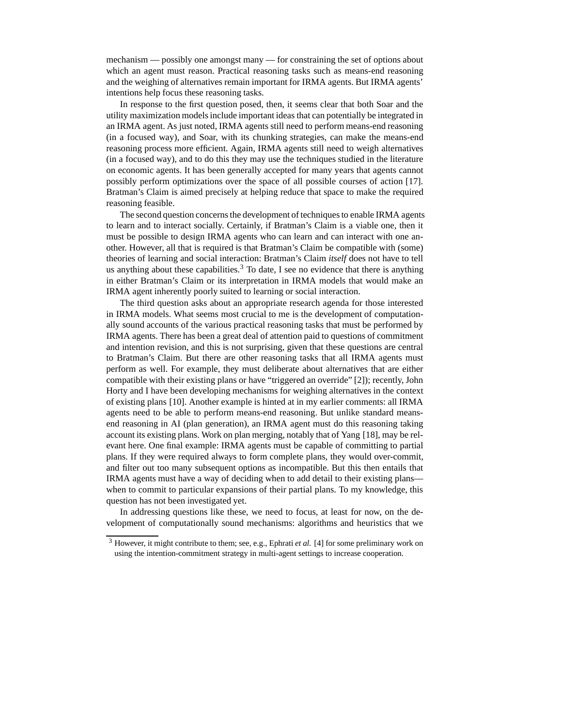mechanism — possibly one amongst many — for constraining the set of options about which an agent must reason. Practical reasoning tasks such as means-end reasoning and the weighing of alternatives remain important for IRMA agents. But IRMA agents' intentions help focus these reasoning tasks.

In response to the first question posed, then, it seems clear that both Soar and the utility maximization modelsinclude important ideas that can potentially be integrated in an IRMA agent. As just noted, IRMA agents still need to perform means-end reasoning (in a focused way), and Soar, with its chunking strategies, can make the means-end reasoning process more efficient. Again, IRMA agents still need to weigh alternatives (in a focused way), and to do this they may use the techniques studied in the literature on economic agents. It has been generally accepted for many years that agents cannot possibly perform optimizations over the space of all possible courses of action [17]. Bratman's Claim is aimed precisely at helping reduce that space to make the required reasoning feasible.

The second question concerns the development of techniques to enable IRMA agents to learn and to interact socially. Certainly, if Bratman's Claim is a viable one, then it must be possible to design IRMA agents who can learn and can interact with one another. However, all that is required is that Bratman's Claim be compatible with (some) theories of learning and social interaction: Bratman's Claim *itself* does not have to tell us anything about these capabilities.<sup>3</sup> To date, I see no evidence that there is anything in either Bratman's Claim or its interpretation in IRMA models that would make an IRMA agent inherently poorly suited to learning or social interaction.

The third question asks about an appropriate research agenda for those interested in IRMA models. What seems most crucial to me is the development of computationally sound accounts of the various practical reasoning tasks that must be performed by IRMA agents. There has been a great deal of attention paid to questions of commitment and intention revision, and this is not surprising, given that these questions are central to Bratman's Claim. But there are other reasoning tasks that all IRMA agents must perform as well. For example, they must deliberate about alternatives that are either compatible with their existing plans or have "triggered an override" [2]); recently, John Horty and I have been developing mechanisms for weighing alternatives in the context of existing plans [10]. Another example is hinted at in my earlier comments: all IRMA agents need to be able to perform means-end reasoning. But unlike standard meansend reasoning in AI (plan generation), an IRMA agent must do this reasoning taking account its existing plans. Work on plan merging, notably that of Yang [18], may be relevant here. One final example: IRMA agents must be capable of committing to partial plans. If they were required always to form complete plans, they would over-commit, and filter out too many subsequent options as incompatible. But this then entails that IRMA agents must have a way of deciding when to add detail to their existing plans when to commit to particular expansions of their partial plans. To my knowledge, this question has not been investigated yet.

In addressing questions like these, we need to focus, at least for now, on the development of computationally sound mechanisms: algorithms and heuristics that we

<sup>3</sup> However, it might contribute to them; see, e.g., Ephrati *et al.* [4] for some preliminary work on using the intention-commitment strategy in multi-agent settings to increase cooperation.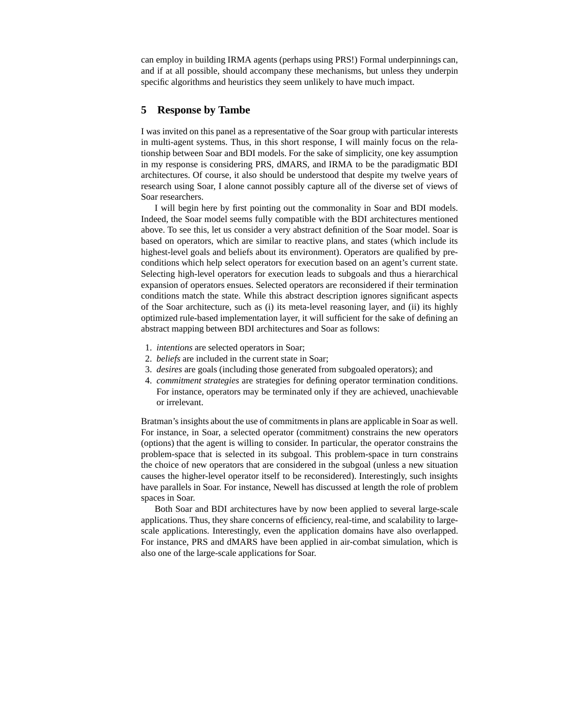can employ in building IRMA agents (perhaps using PRS!) Formal underpinnings can, and if at all possible, should accompany these mechanisms, but unless they underpin specific algorithms and heuristics they seem unlikely to have much impact.

#### **5 Response by Tambe**

I was invited on this panel as a representative of the Soar group with particular interests in multi-agent systems. Thus, in this short response, I will mainly focus on the relationship between Soar and BDI models. For the sake of simplicity, one key assumption in my response is considering PRS, dMARS, and IRMA to be the paradigmatic BDI architectures. Of course, it also should be understood that despite my twelve years of research using Soar, I alone cannot possibly capture all of the diverse set of views of Soar researchers.

I will begin here by first pointing out the commonality in Soar and BDI models. Indeed, the Soar model seems fully compatible with the BDI architectures mentioned above. To see this, let us consider a very abstract definition of the Soar model. Soar is based on operators, which are similar to reactive plans, and states (which include its highest-level goals and beliefs about its environment). Operators are qualified by preconditions which help select operators for execution based on an agent's current state. Selecting high-level operators for execution leads to subgoals and thus a hierarchical expansion of operators ensues. Selected operators are reconsidered if their termination conditions match the state. While this abstract description ignores significant aspects of the Soar architecture, such as (i) its meta-level reasoning layer, and (ii) its highly optimized rule-based implementation layer, it will sufficient for the sake of defining an abstract mapping between BDI architectures and Soar as follows:

- 1. *intentions* are selected operators in Soar;
- 2. *beliefs* are included in the current state in Soar;
- 3. *desires* are goals (including those generated from subgoaled operators); and
- 4. *commitment strategies* are strategies for defining operator termination conditions. For instance, operators may be terminated only if they are achieved, unachievable or irrelevant.

Bratman's insights about the use of commitmentsin plans are applicable in Soar as well. For instance, in Soar, a selected operator (commitment) constrains the new operators (options) that the agent is willing to consider. In particular, the operator constrains the problem-space that is selected in its subgoal. This problem-space in turn constrains the choice of new operators that are considered in the subgoal (unless a new situation causes the higher-level operator itself to be reconsidered). Interestingly, such insights have parallels in Soar. For instance, Newell has discussed at length the role of problem spaces in Soar.

Both Soar and BDI architectures have by now been applied to several large-scale applications. Thus, they share concerns of efficiency, real-time, and scalability to largescale applications. Interestingly, even the application domains have also overlapped. For instance, PRS and dMARS have been applied in air-combat simulation, which is also one of the large-scale applications for Soar.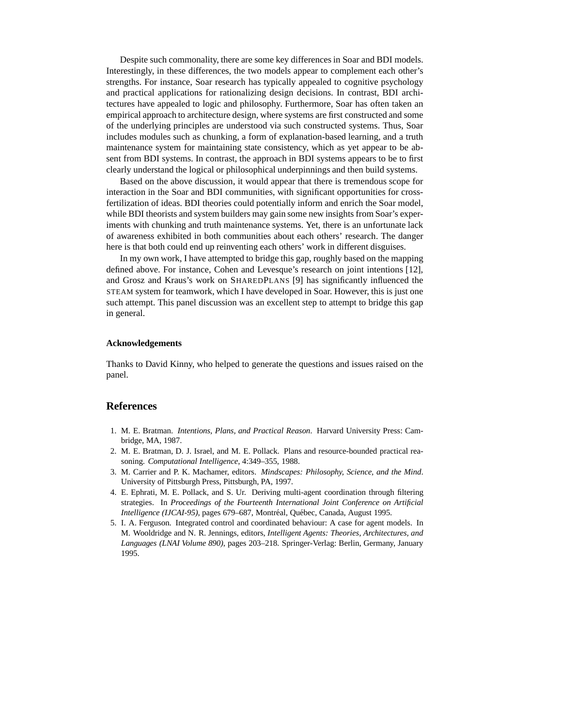Despite such commonality, there are some key differences in Soar and BDI models. Interestingly, in these differences, the two models appear to complement each other's strengths. For instance, Soar research has typically appealed to cognitive psychology and practical applications for rationalizing design decisions. In contrast, BDI architectures have appealed to logic and philosophy. Furthermore, Soar has often taken an empirical approach to architecture design, where systems are first constructed and some of the underlying principles are understood via such constructed systems. Thus, Soar includes modules such as chunking, a form of explanation-based learning, and a truth maintenance system for maintaining state consistency, which as yet appear to be absent from BDI systems. In contrast, the approach in BDI systems appears to be to first clearly understand the logical or philosophical underpinnings and then build systems.

Based on the above discussion, it would appear that there is tremendous scope for interaction in the Soar and BDI communities, with significant opportunities for crossfertilization of ideas. BDI theories could potentially inform and enrich the Soar model, while BDI theorists and system builders may gain some new insights from Soar's experiments with chunking and truth maintenance systems. Yet, there is an unfortunate lack of awareness exhibited in both communities about each others' research. The danger here is that both could end up reinventing each others' work in different disguises.

In my own work, I have attempted to bridge this gap, roughly based on the mapping defined above. For instance, Cohen and Levesque's research on joint intentions [12], and Grosz and Kraus's work on SHAREDPLANS [9] has significantly influenced the STEAM system for teamwork, which I have developed in Soar. However, this is just one such attempt. This panel discussion was an excellent step to attempt to bridge this gap in general.

#### **Acknowledgements**

Thanks to David Kinny, who helped to generate the questions and issues raised on the panel.

#### **References**

- 1. M. E. Bratman. *Intentions, Plans, and Practical Reason*. Harvard University Press: Cambridge, MA, 1987.
- 2. M. E. Bratman, D. J. Israel, and M. E. Pollack. Plans and resource-bounded practical reasoning. *Computational Intelligence*, 4:349–355, 1988.
- 3. M. Carrier and P. K. Machamer, editors. *Mindscapes: Philosophy, Science, and the Mind*. University of Pittsburgh Press, Pittsburgh, PA, 1997.
- 4. E. Ephrati, M. E. Pollack, and S. Ur. Deriving multi-agent coordination through filtering strategies. In *Proceedings of the Fourteenth International Joint Conference on Artificial Intelligence* (IJCAI-95), pages 679-687, Montréal, Québec, Canada, August 1995.
- 5. I. A. Ferguson. Integrated control and coordinated behaviour: A case for agent models. In M. Wooldridge and N. R. Jennings, editors, *Intelligent Agents: Theories, Architectures, and Languages (LNAI Volume 890)*, pages 203–218. Springer-Verlag: Berlin, Germany, January 1995.